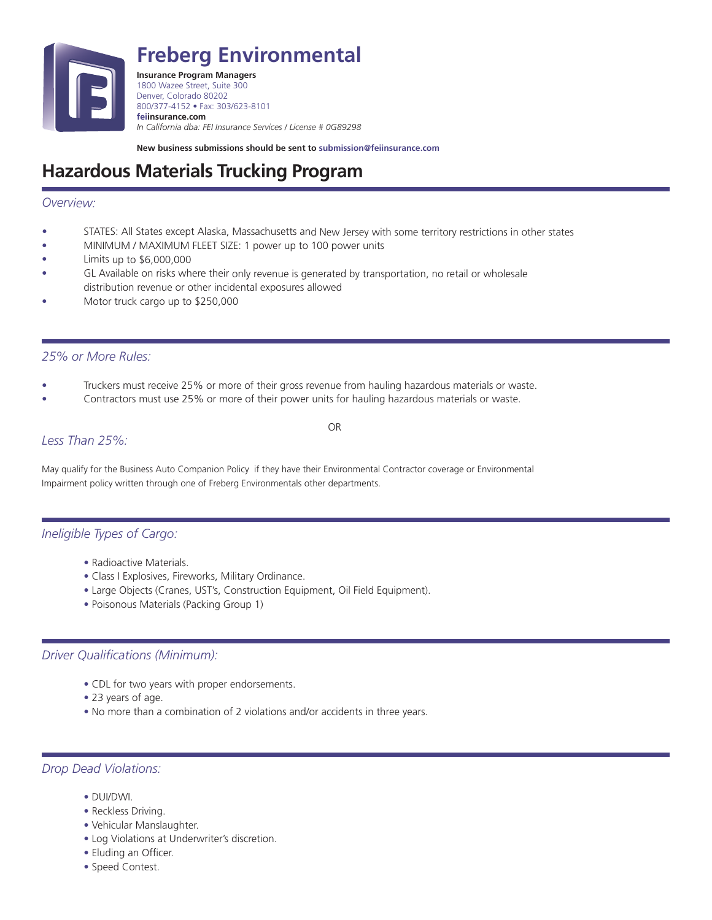

**Freberg Environmental**

**Insurance Program Managers** 1800 Wazee Street, Suite 300 Denver, Colorado 80202 800/377-4152 • Fax: 303/623-8101 **feiinsurance.com** *In California dba: FEI Insurance Services / License # 0G89298*

**New business submissions should be sent to submission@feiinsurance.com**

# **Hazardous Materials Trucking Program**

## *Overview:*

- •STATES: All States except Alaska, Massachusetts and New Jersey with some territory restrictions in other states
- •MINIMUM / MAXIMUM FLEET SIZE: 1 power up to 100 power units
- •Limits up to \$6,000,000
- • GL Available on risks where their only revenue is generated by transportation, no retail or wholesale distribution revenue or other incidental exposures allowed
- •Motor truck cargo up to \$250,000

### *25% or More Rules:*

• Truckers must receive 25% or more of their gross revenue from hauling hazardous materials or waste.

OR

• Contractors must use 25% or more of their power units for hauling hazardous materials or waste.

# *Less Than 25%:*

May qualify for the Business Auto Companion Policy if they have their Environmental Contractor coverage or Environmental Impairment policy written through one of Freberg Environmentals other departments.

# *Ineligible Types of Cargo:*

- Radioactive Materials.
- Class I Explosives, Fireworks, Military Ordinance.
- Large Objects (Cranes, UST's, Construction Equipment, Oil Field Equipment).
- Poisonous Materials (Packing Group 1)

# *Driver Qualifications (Minimum):*

- CDL for two years with proper endorsements.
- 23 years of age.
- No more than a combination of 2 violations and/or accidents in three years.

### *Drop Dead Violations:*

- DUI/DWI.
- Reckless Driving.
- Vehicular Manslaughter.
- Log Violations at Underwriter's discretion.
- Eluding an Officer.
- Speed Contest.